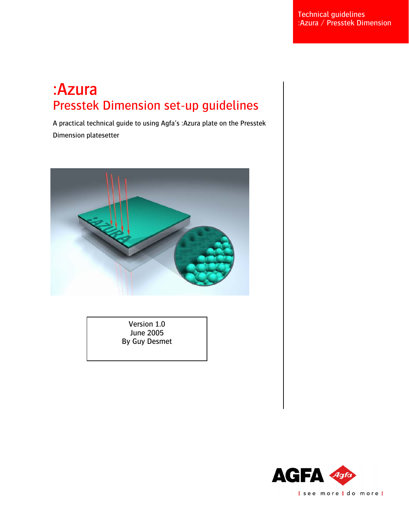# : Azura<br>Presstek Dimension set-up guidelines

A practical technical guide to using Agfa's :Azura plate on the Presstek Dimension platesetter



Version 1.0 June 2005 By Guy Desmet

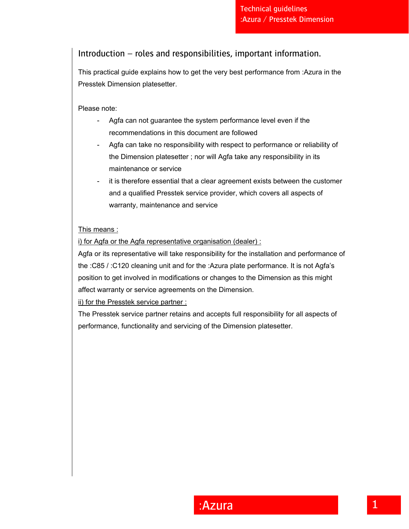# Introduction – roles and responsibilities, important information.

This practical guide explains how to get the very best performance from :Azura in the Presstek Dimension platesetter.

Please note:

- Agfa can not guarantee the system performance level even if the recommendations in this document are followed
- Agfa can take no responsibility with respect to performance or reliability of the Dimension platesetter ; nor will Agfa take any responsibility in its maintenance or service
- it is therefore essential that a clear agreement exists between the customer and a qualified Presstek service provider, which covers all aspects of warranty, maintenance and service

## This means :

i) for Agfa or the Agfa representative organisation (dealer) :

Agfa or its representative will take responsibility for the installation and performance of the :C85 / :C120 cleaning unit and for the :Azura plate performance. It is not Agfa's position to get involved in modifications or changes to the Dimension as this might affect warranty or service agreements on the Dimension.

ii) for the Presstek service partner :

The Presstek service partner retains and accepts full responsibility for all aspects of performance, functionality and servicing of the Dimension platesetter.

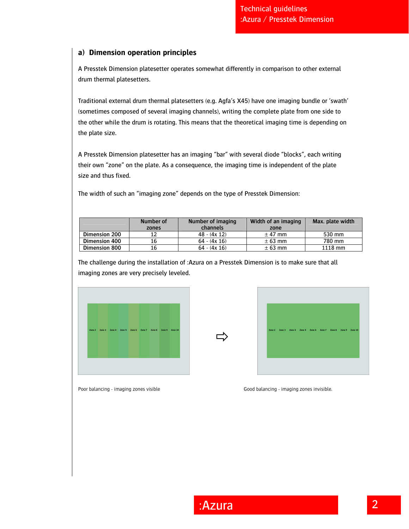## **a) Dimension operation principles**

A Presstek Dimension platesetter operates somewhat differently in comparison to other external drum thermal platesetters.

Traditional external drum thermal platesetters (e.g. Agfa's X45) have one imaging bundle or 'swath' (sometimes composed of several imaging channels), writing the complete plate from one side to the other while the drum is rotating. This means that the theoretical imaging time is depending on the plate size.

A Presstek Dimension platesetter has an imaging "bar" with several diode "blocks", each writing their own "zone" on the plate. As a consequence, the imaging time is independent of the plate size and thus fixed.

The width of such an "imaging zone" depends on the type of Presstek Dimension:

|                      | Number of<br>zones | Number of imaging<br>channels | Width of an imaging<br>zone | Max. plate width |
|----------------------|--------------------|-------------------------------|-----------------------------|------------------|
| Dimension 200        |                    | $48 - (4x 12)$                | $±$ 47 mm                   | 530 mm           |
| Dimension 400        | 16                 | $64 - (4x 16)$                | $± 63$ mm                   | 780 mm           |
| <b>Dimension 800</b> | 16                 | $64 - (4x 16)$                | $± 63$ mm                   | 1118 mm          |

 $\Rightarrow$ 

The challenge during the installation of :Azura on a Presstek Dimension is to make sure that all imaging zones are very precisely leveled.





Poor balancing - imaging zones visible Good balancing - imaging zones invisible.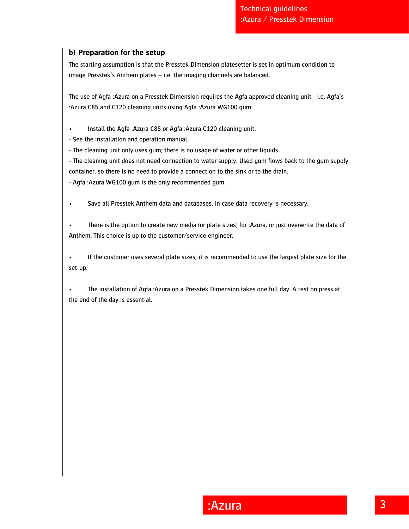# **b) Preparation for the setup**

The starting assumption is that the Presstek Dimension platesetter is set in optimum condition to image Presstek's Anthem plates – i.e. the imaging channels are balanced.

The use of Agfa :Azura on a Presstek Dimension requires the Agfa approved cleaning unit - i.e. Agfa's :Azura C85 and C120 cleaning units using Agfa :Azura WG100 gum.

• Install the Agfa :Azura C85 or Agfa :Azura C120 cleaning unit.

- See the installation and operation manual.

- The cleaning unit only uses gum; there is no usage of water or other liquids.

- The cleaning unit does not need connection to water supply. Used gum flows back to the gum supply container, so there is no need to provide a connection to the sink or to the drain.

- Agfa :Azura WG100 gum is the only recommended gum.

• Save all Presstek Anthem data and databases, in case data recovery is necessary.

There is the option to create new media (or plate sizes) for :Azura, or just overwrite the data of Anthem. This choice is up to the customer/service engineer.

If the customer uses several plate sizes, it is recommended to use the largest plate size for the set-up.

• The installation of Agfa :Azura on a Presstek Dimension takes one full day. A test on press at the end of the day is essential.

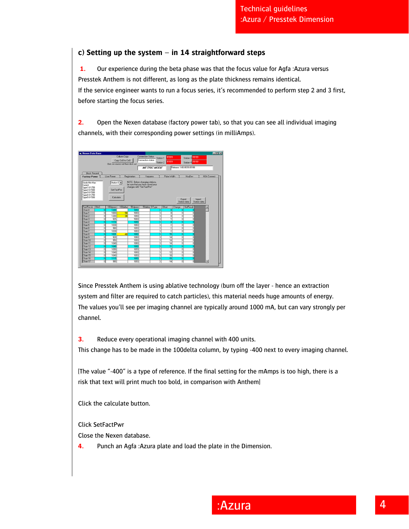# **c) Setting up the system – in 14 straightforward steps**

**1.** Our experience during the beta phase was that the focus value for Agfa :Azura versus Presstek Anthem is not different, as long as the plate thickness remains identical. If the service engineer wants to run a focus series, it's recommended to perform step 2 and 3 first, before starting the focus series.

**2.** Open the Nexen database (factory power tab), so that you can see all individual imaging channels, with their corresponding power settings (in milliAmps).



Since Presstek Anthem is using ablative technology (burn off the layer - hence an extraction system and filter are required to catch particles), this material needs huge amounts of energy. The values you'll see per imaging channel are typically around 1000 mA, but can vary strongly per channel.

**3.** Reduce every operational imaging channel with 400 units.

This change has to be made in the 100delta column, by typing -400 next to every imaging channel.

[The value "-400" is a type of reference. If the final setting for the mAmps is too high, there is a risk that text will print much too bold, in comparison with Anthem]

Click the calculate button.

Click SetFactPwr

Close the Nexen database.

**4.** Punch an Agfa :Azura plate and load the plate in the Dimension.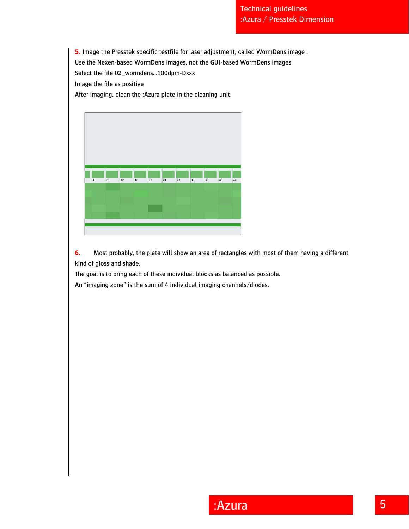**5.** Image the Presstek specific testfile for laser adjustment, called WormDens image :

Use the Nexen-based WormDens images, not the GUI-based WormDens images

Select the file 02\_wormdens…100dpm-Dxxx

Image the file as positive

After imaging, clean the :Azura plate in the cleaning unit.



**6.** Most probably, the plate will show an area of rectangles with most of them having a different kind of gloss and shade.

The goal is to bring each of these individual blocks as balanced as possible. An "imaging zone" is the sum of 4 individual imaging channels/diodes.

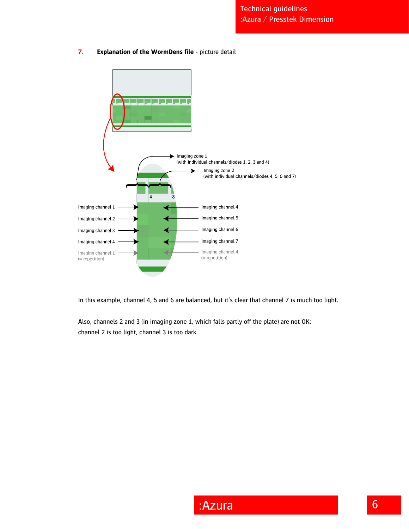

In this example, channel 4, 5 and 6 are balanced, but it's clear that channel 7 is much too light.

Also, channels 2 and 3 (in imaging zone 1, which falls partly off the plate) are not OK: channel 2 is too light, channel 3 is too dark.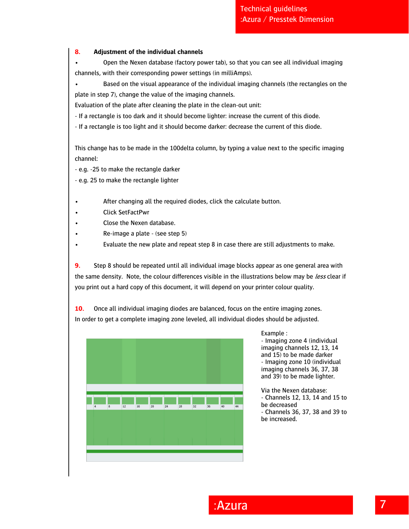### **8. Adjustment of the individual channels**

• Open the Nexen database (factory power tab), so that you can see all individual imaging channels, with their corresponding power settings (in milliAmps).

• Based on the visual appearance of the individual imaging channels (the rectangles on the plate in step 7), change the value of the imaging channels.

Evaluation of the plate after cleaning the plate in the clean-out unit:

- If a rectangle is too dark and it should become lighter: increase the current of this diode.

- If a rectangle is too light and it should become darker: decrease the current of this diode.

This change has to be made in the 100delta column, by typing a value next to the specific imaging channel:

- e.g. -25 to make the rectangle darker

- e.g. 25 to make the rectangle lighter

- After changing all the required diodes, click the calculate button.
- Click SetFactPwr
- Close the Nexen database.
- Re-image a plate (see step 5)
- Evaluate the new plate and repeat step 8 in case there are still adjustments to make.

**9.** Step 8 should be repeated until all individual image blocks appear as one general area with the same density. Note, the colour differences visible in the illustrations below may be less clear if you print out a hard copy of this document, it will depend on your printer colour quality.

**10.** Once all individual imaging diodes are balanced, focus on the entire imaging zones. In order to get a complete imaging zone leveled, all individual diodes should be adjusted.



Example :

- Imaging zone 4 (individual imaging channels 12, 13, 14 and 15) to be made darker - Imaging zone 10 (individual imaging channels 36, 37, 38 and 39) to be made lighter.

Via the Nexen database: - Channels 12, 13, 14 and 15 to be decreased - Channels 36, 37, 38 and 39 to be increased.